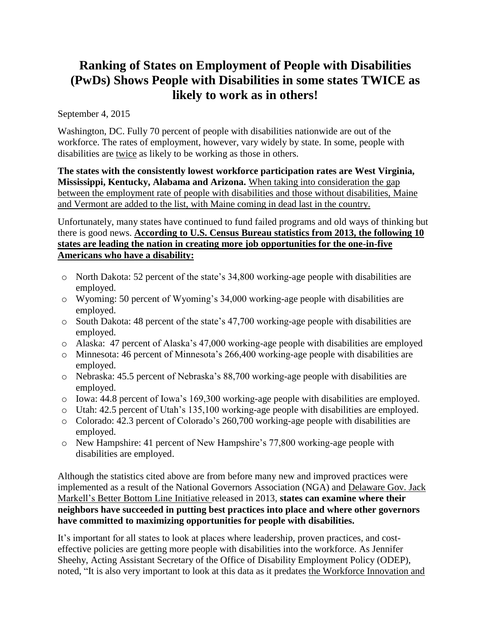# **Ranking of States on Employment of People with Disabilities (PwDs) Shows People with Disabilities in some states TWICE as likely to work as in others!**

September 4, 2015

Washington, DC. Fully 70 percent of people with disabilities nationwide are out of the workforce. The rates of employment, however, vary widely by state. In some, people with disabilities are twice as likely to be working as those in others.

**The states with the consistently lowest workforce participation rates are West Virginia, Mississippi, Kentucky, Alabama and Arizona.** [When taking into consideration](http://disabilitycompendium.org/compendium-statistics/employment/2-9-employment-gap---civilians-ages-18-64-years-living-in-the-community-for-the-u-s-) the gap between the employment rate of people with [disabilities and those without disabilities, Maine](http://disabilitycompendium.org/compendium-statistics/employment/2-9-employment-gap---civilians-ages-18-64-years-living-in-the-community-for-the-u-s-)  [and Vermont are added to the list, with Maine coming in dead last in the country.](http://disabilitycompendium.org/compendium-statistics/employment/2-9-employment-gap---civilians-ages-18-64-years-living-in-the-community-for-the-u-s-)

Unfortunately, many states have continued to fund failed programs and old ways of thinking but there is good news. **[According to U.S. Census Bureau statistics from 2013, the following 10](http://disabilitycompendium.org/compendium-statistics/employment/2-1-civilians-with-disabilities-ages-18-64-years-living-in-the-community-for-the-u-s-) states [are leading the nation in creating more job opportunities for the one-in-five](http://disabilitycompendium.org/compendium-statistics/employment/2-1-civilians-with-disabilities-ages-18-64-years-living-in-the-community-for-the-u-s-)  [Americans who have a disability:](http://disabilitycompendium.org/compendium-statistics/employment/2-1-civilians-with-disabilities-ages-18-64-years-living-in-the-community-for-the-u-s-)**

- o North Dakota: 52 percent of the state's 34,800 working-age people with disabilities are employed.
- o Wyoming: 50 percent of Wyoming's 34,000 working-age people with disabilities are employed.
- o South Dakota: 48 percent of the state's 47,700 working-age people with disabilities are employed.
- o Alaska: 47 percent of Alaska's 47,000 working-age people with disabilities are employed
- o Minnesota: 46 percent of Minnesota's 266,400 working-age people with disabilities are employed.
- o Nebraska: 45.5 percent of Nebraska's 88,700 working-age people with disabilities are employed.
- o Iowa: 44.8 percent of Iowa's 169,300 working-age people with disabilities are employed.
- o Utah: 42.5 percent of Utah's 135,100 working-age people with disabilities are employed.
- o Colorado: 42.3 percent of Colorado's 260,700 working-age people with disabilities are employed.
- o New Hampshire: 41 percent of New Hampshire's 77,800 working-age people with disabilities are employed.

Although the statistics cited above are from before many new and improved practices were implemented as a result of the National Governors Association (NGA) and [Delaware Gov. Jack](http://www.nga.org/files/live/sites/NGA/files/pdf/2013/NGA_2013BetterBottomLineWeb.pdf)  [Markell's Better Bottom Line Initiative](http://www.nga.org/files/live/sites/NGA/files/pdf/2013/NGA_2013BetterBottomLineWeb.pdf) released in 2013, **states can examine where their neighbors have succeeded in putting best practices into place and where other governors have committed to maximizing opportunities for people with disabilities.** 

It's important for all states to look at places where leadership, proven practices, and costeffective policies are getting more people with disabilities into the workforce. As Jennifer Sheehy, Acting Assistant Secretary of the Office of Disability Employment Policy (ODEP), noted, "It is also very important to look at this data as it predates [the Workforce Innovation and](http://www.doleta.gov/wioa/)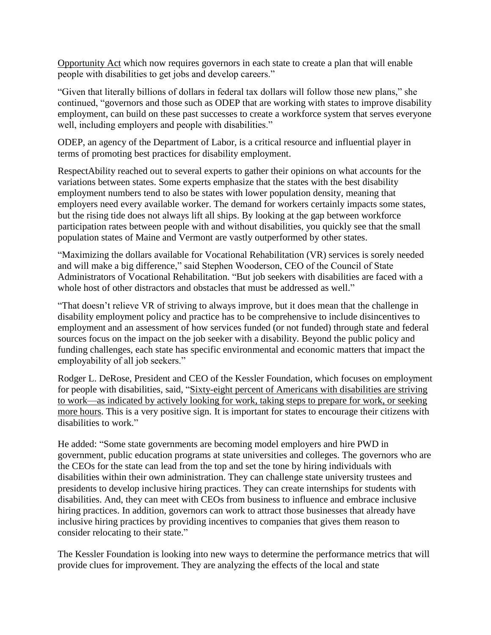[Opportunity](http://www.doleta.gov/wioa/) Act which now requires governors in each state to create a plan that will enable people with disabilities to get jobs and develop careers."

"Given that literally billions of dollars in federal tax dollars will follow those new plans," she continued, "governors and those such as ODEP that are working with states to improve disability employment, can build on these past successes to create a workforce system that serves everyone well, including employers and people with disabilities."

ODEP, an agency of the Department of Labor, is a critical resource and influential player in terms of promoting best practices for disability employment.

RespectAbility reached out to several experts to gather their opinions on what accounts for the variations between states. Some experts emphasize that the states with the best disability employment numbers tend to also be states with lower population density, meaning that employers need every available worker. The demand for workers certainly impacts some states, but the rising tide does not always lift all ships. By looking at the gap between workforce participation rates between people with and without disabilities, you quickly see that the small population states of Maine and Vermont are vastly outperformed by other states.

"Maximizing the dollars available for Vocational Rehabilitation (VR) services is sorely needed and will make a big difference," said Stephen Wooderson, CEO of the Council of State Administrators of Vocational Rehabilitation. "But job seekers with disabilities are faced with a whole host of other distractors and obstacles that must be addressed as well."

"That doesn't relieve VR of striving to always improve, but it does mean that the challenge in disability employment policy and practice has to be comprehensive to include disincentives to employment and an assessment of how services funded (or not funded) through state and federal sources focus on the impact on the job seeker with a disability. Beyond the public policy and funding challenges, each state has specific environmental and economic matters that impact the employability of all job seekers."

Rodger L. DeRose, President and CEO of the Kessler Foundation, which focuses on employment for people with disabilities, said, ["Sixty-eight percent of Americans with disabilities are striving](https://kesslerfoundation.org/kfsurvey15)  [to work—as indicated by actively looking for work, taking steps to prepare for work, or seeking](https://kesslerfoundation.org/kfsurvey15)  [more hours.](https://kesslerfoundation.org/kfsurvey15) This is a very positive sign. It is important for states to encourage their citizens with disabilities to work."

He added: "Some state governments are becoming model employers and hire PWD in government, public education programs at state universities and colleges. The governors who are the CEOs for the state can lead from the top and set the tone by hiring individuals with disabilities within their own administration. They can challenge state university trustees and presidents to develop inclusive hiring practices. They can create internships for students with disabilities. And, they can meet with CEOs from business to influence and embrace inclusive hiring practices. In addition, governors can work to attract those businesses that already have inclusive hiring practices by providing incentives to companies that gives them reason to consider relocating to their state."

The Kessler Foundation is looking into new ways to determine the performance metrics that will provide clues for improvement. They are analyzing the effects of the local and state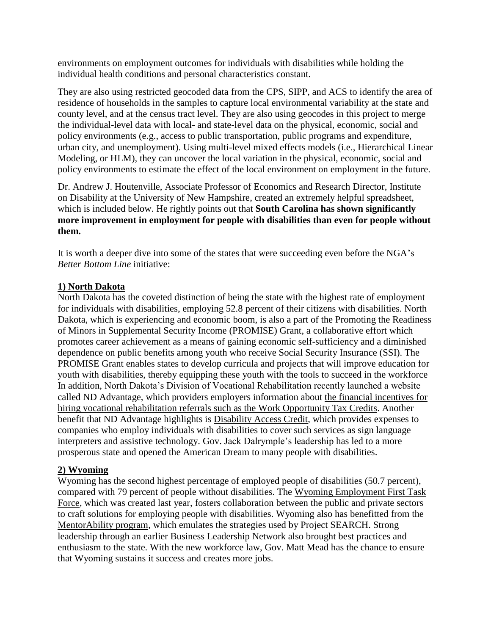environments on employment outcomes for individuals with disabilities while holding the individual health conditions and personal characteristics constant.

They are also using restricted geocoded data from the CPS, SIPP, and ACS to identify the area of residence of households in the samples to capture local environmental variability at the state and county level, and at the census tract level. They are also using geocodes in this project to merge the individual-level data with local- and state-level data on the physical, economic, social and policy environments (e.g., access to public transportation, public programs and expenditure, urban city, and unemployment). Using multi-level mixed effects models (i.e., Hierarchical Linear Modeling, or HLM), they can uncover the local variation in the physical, economic, social and policy environments to estimate the effect of the local environment on employment in the future.

Dr. Andrew J. Houtenville, Associate Professor of Economics and Research Director, Institute on Disability at the University of New Hampshire, created an extremely helpful spreadsheet, which is included below. He rightly points out that **South Carolina has shown significantly more improvement in employment for people with disabilities than even for people without them.** 

It is worth a deeper dive into some of the states that were succeeding even before the NGA's *Better Bottom Line* initiative:

### **1) North Dakota**

North Dakota has the coveted distinction of being the state with the highest rate of employment for individuals with disabilities, employing 52.8 percent of their citizens with disabilities. North Dakota, which is experiencing and economic boom, is also a part of the [Promoting the Readiness](http://www2.ed.gov/about/inits/ed/promise/index.html)  [of Minors in Supplemental Security Income \(PROMISE\) Grant,](http://www2.ed.gov/about/inits/ed/promise/index.html) a collaborative effort which promotes career achievement as a means of gaining economic self-sufficiency and a diminished dependence on public benefits among youth who receive Social Security Insurance (SSI). The PROMISE Grant enables states to develop curricula and projects that will improve education for youth with disabilities, thereby equipping these youth with the tools to succeed in the workforce In addition, North Dakota's Division of Vocational Rehabilitation recently launched a website called ND Advantage, which providers employers information about [the financial incentives for](http://ndadvantage.com/opportunities/financial/wotc/)  [hiring vocational rehabilitation referrals such as the Work Opportunity Tax Credits.](http://ndadvantage.com/opportunities/financial/wotc/) Another benefit that ND Advantage highlights is [Disability Access Credit,](http://ndadvantage.com/opportunities/financial/disability-access-credit/) which provides expenses to companies who employ individuals with disabilities to cover such services as sign language interpreters and assistive technology. Gov. Jack Dalrymple's leadership has led to a more prosperous state and opened the American Dream to many people with disabilities.

#### **2) Wyoming**

Wyoming has the second highest percentage of employed people of disabilities (50.7 percent), compared with 79 percent of people without disabilities. The [Wyoming Employment First Task](http://health.wyo.gov/ddd/Wyomingemploymentfirstinitiative.html)  [Force,](http://health.wyo.gov/ddd/Wyomingemploymentfirstinitiative.html) which was created last year, fosters collaboration between the public and private sectors to craft solutions for employing people with disabilities. Wyoming also has benefitted from the [MentorAbility program,](http://www.volunteerwyoming.org/agency/detail/?agency_id=12418) which emulates the strategies used by Project SEARCH. Strong leadership through an earlier Business Leadership Network also brought best practices and enthusiasm to the state. With the new workforce law, Gov. Matt Mead has the chance to ensure that Wyoming sustains it success and creates more jobs.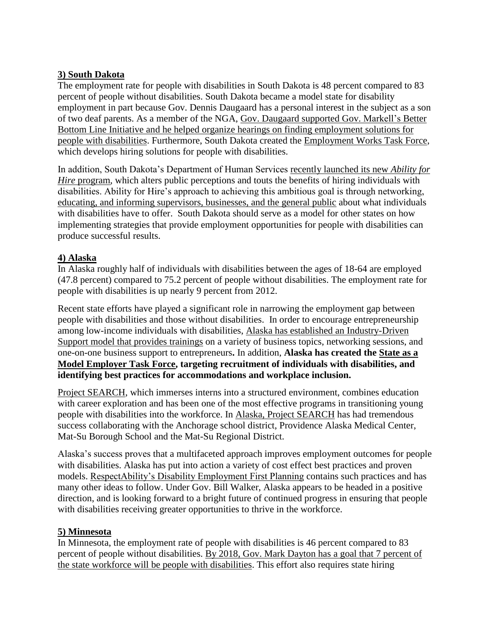# **3) South Dakota**

The employment rate for people with disabilities in South Dakota is 48 percent compared to 83 percent of people without disabilities. South Dakota became a model state for disability employment in part because Gov. Dennis Daugaard has a personal interest in the subject as a son of two deaf parents. As a member of the NGA, Gov. [Daugaard supported Gov.](https://dhs.sd.gov/NewsandAnnouncements/GovColumnEmployingSouthDakotansWithDisabilities.html) Markell's Better [Bottom Line Initiative and he helped organize hearings on finding employment solutions for](https://dhs.sd.gov/NewsandAnnouncements/GovColumnEmployingSouthDakotansWithDisabilities.html)  [people with disabilities.](https://dhs.sd.gov/NewsandAnnouncements/GovColumnEmployingSouthDakotansWithDisabilities.html) Furthermore, South Dakota created the [Employment Works Task Force,](http://dhs.sd.gov/EWTF/Employment%20Works%20Task%20Force.aspx) which develops hiring solutions for people with disabilities.

In addition, South Dakota's Department of Human Services [recently launched its new](http://dhs.sd.gov/NewsandAnnouncements/AFH_campaign.html) *Ability for Hire* [program,](http://dhs.sd.gov/NewsandAnnouncements/AFH_campaign.html) which alters public perceptions and touts the benefits of hiring individuals with disabilities. Ability for Hire's approach to achieving this ambitious goal is through networking, [educating, and informing supervisors, businesses, and the general public](http://abilityforhire.com/) about what individuals with disabilities have to offer. South Dakota should serve as a model for other states on how implementing strategies that provide employment opportunities for people with disabilities can produce successful results.

# **4) Alaska**

In Alaska roughly half of individuals with disabilities between the ages of 18-64 are employed (47.8 percent) compared to 75.2 percent of people without disabilities. The employment rate for people with disabilities is up nearly 9 percent from 2012.

Recent state efforts have played a significant role in narrowing the employment gap between people with disabilities and those without disabilities. In order to encourage entrepreneurship among low-income individuals with disabilities, [Alaska has established an Industry-Driven](http://www.uaa.alaska.edu/centerforhumandevelopment/industrydrivensupportmodel/)  [Support model that provides trainings](http://www.uaa.alaska.edu/centerforhumandevelopment/industrydrivensupportmodel/) on a variety of business topics, networking sessions, and one-on-one business support to entrepreneurs**.** In addition, **Alaska has created the [State as a](http://respectabilityusa.com/Resources/By%20State/Alaska%20and%20Jobs%20for%20PwDs.ppt)  [Model Employer Task Force,](http://respectabilityusa.com/Resources/By%20State/Alaska%20and%20Jobs%20for%20PwDs.ppt) targeting recruitment of individuals with disabilities, and identifying best practices for accommodations and workplace inclusion.** 

[Project SEARCH,](http://www.projectsearch.us/) which immerses interns into a structured environment, combines education with career exploration and has been one of the most effective programs in transitioning young people with disabilities into the workforce. In [Alaska, Project SEARCH](http://www.ktva.com/project-search-helps-students-transition-from-high-school-to-workplace-820/) has had tremendous success collaborating with the Anchorage school district, Providence Alaska Medical Center, Mat-Su Borough School and the Mat-Su Regional District.

Alaska's success proves that a multifaceted approach improves employment outcomes for people with disabilities. Alaska has put into action a variety of cost effect best practices and proven models. [RespectAbility's Disability Employment First Planning](http://respectabilityusa.com/Resources/Disability%20Employment%20First%20Planning.pdf) contains such practices and has many other ideas to follow. Under Gov. Bill Walker, Alaska appears to be headed in a positive direction, and is looking forward to a bright future of continued progress in ensuring that people with disabilities receiving greater opportunities to thrive in the workforce.

### **5) Minnesota**

In Minnesota, the employment rate of people with disabilities is 46 percent compared to 83 percent of people without disabilities. By 2018, Gov. [Mark Dayton has a goal that 7](http://www.startribune.com/aug-7-dayton-to-state-agencies-hire-more-disabled-workers/270249451/) percent of [the state workforce will be people with disabilities.](http://www.startribune.com/aug-7-dayton-to-state-agencies-hire-more-disabled-workers/270249451/) This effort also requires state hiring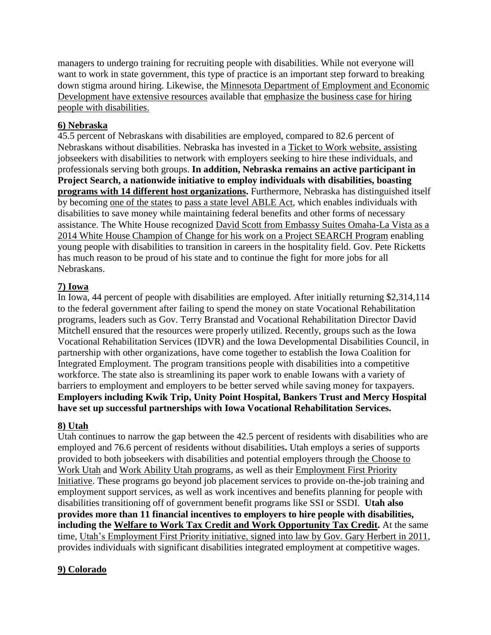managers to undergo training for recruiting people with disabilities. While not everyone will want to work in state government, this type of practice is an important step forward to breaking down stigma around hiring. Likewise, the [Minnesota Department of Employment and Economic](http://mn.gov/deed/business/finding-workers/hiring-disabilities/)  Development have [extensive resources](http://mn.gov/deed/business/finding-workers/hiring-disabilities/) available that [emphasize the business case for hiring](http://mn.gov/deed/business/finding-workers/hiring-disabilities/business-case-studies/index.jsp)  [people with disabilities.](http://mn.gov/deed/business/finding-workers/hiring-disabilities/business-case-studies/index.jsp)

# **6) Nebraska**

45.5 percent of Nebraskans with disabilities are employed, compared to 82.6 percent of Nebraskans without disabilities. Nebraska has invested in a [Ticket to Work website,](http://www.nebraskatickettowork.org/) assisting jobseekers with disabilities to network with employers seeking to hire these individuals, and professionals serving both groups. **In addition, Nebraska remains an active participant in Project Search, a nationwide initiative to employ individuals with disabilities, boasting programs with [14 different host organizations.](http://www.projectsearch.us/GetINVOLVED/FindaProgram.aspx)** Furthermore, Nebraska has distinguished itself by becoming [one of the states](https://www.autismspeaks.org/advocacy/advocacy-news/nebraska-passes-able-act) to [pass a state level ABLE Act,](http://autismnebraska.org/able-act/) which enables individuals with disabilities to save money while maintaining federal benefits and other forms of necessary assistance. The White House recognized [David Scott from Embassy Suites Omaha-La Vista as a](http://respectabilityusa.com/white-house-recognizes-importance-of-jobs-for-people-with-disabilities-embassy-suites-omaha-is-prime-example-of-progress./)  [2014 White House Champion of Change for his work on a Project SEARCH Program](http://respectabilityusa.com/white-house-recognizes-importance-of-jobs-for-people-with-disabilities-embassy-suites-omaha-is-prime-example-of-progress./) enabling young people with disabilities to transition in careers in the hospitality field. Gov. Pete Ricketts has much reason to be proud of his state and to continue the fight for more jobs for all Nebraskans.

# **7) Iowa**

In Iowa, 44 percent of people with disabilities are employed. After initially returning \$2,314,114 to the federal government after failing to spend the money on state Vocational Rehabilitation programs, leaders such as Gov. Terry Branstad and Vocational Rehabilitation Director David Mitchell ensured that the resources were properly utilized. Recently, groups such as the Iowa Vocational Rehabilitation Services (IDVR) and the Iowa Developmental Disabilities Council, in partnership with other organizations, have come together to establish the Iowa Coalition for Integrated Employment. The program transitions people with disabilities into a competitive workforce. The state also is streamlining its paper work to enable Iowans with a variety of barriers to employment and employers to be better served while saving money for taxpayers. **Employers including Kwik Trip, Unity Point Hospital, Bankers Trust and Mercy Hospital have set up successful partnerships with Iowa Vocational Rehabilitation Services.**

### **8) Utah**

Utah continues to narrow the gap between the 42.5 percent of residents with disabilities who are employed and 76.6 percent of residents without disabilities**.** Utah employs a series of supports provided to both jobseekers with disabilities and potential employers through [the Choose to](http://www.usor.utah.gov/division-menu/division-of-rehabilitation-services/choose-to-work) [Work Utah](http://www.usor.utah.gov/division-menu/division-of-rehabilitation-services/choose-to-work) and [Work Ability Utah programs,](http://www.workabilityutah.org/work/) as well as their [Employment First Priority](http://dsamh.utah.gov/pdf/mings_stuff/Employment%20First%20Strategic%20Plan.pdf)  [Initiative.](http://dsamh.utah.gov/pdf/mings_stuff/Employment%20First%20Strategic%20Plan.pdf) These programs go beyond job placement services to provide on-the-job training and employment support services, as well as work incentives and benefits planning for people with disabilities transitioning off of government benefit programs like SSI or SSDI. **Utah also provides more than 11 financial incentives to employers to hire people with disabilities, including the [Welfare to Work Tax Credit and Work Opportunity Tax Credit.](http://workabilityutah.org/hiring/taxcredits.php)** At the same time, [Utah's Employment First Priority initiative, signed into law by Gov.](http://le.utah.gov/~2011/bills/hbillamd/HB0240.htm) Gary Herbert in 2011, provides individuals with significant disabilities integrated employment at competitive wages.

# **9) Colorado**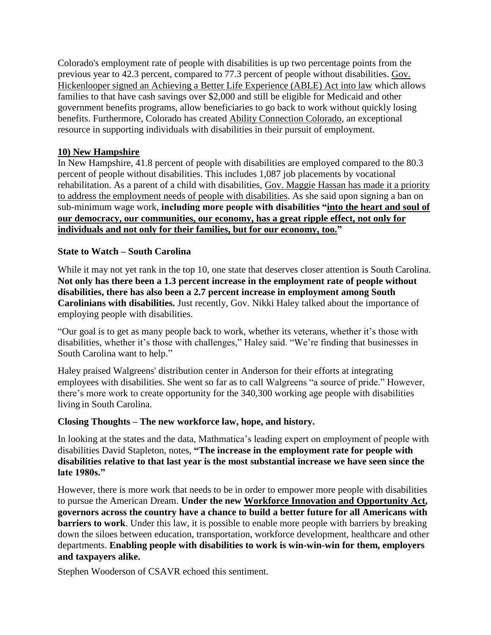Colorado's employment rate of people with disabilities is up two percentage points from the previous year to 42.3 percent, compared to 77.3 percent of people without disabilities. [Gov.](http://www.legispeak.com/bill/2015/hb15-1359) Hickenlooper signed an [Achieving a Better Life Experience \(ABLE\) Act into law](http://www.legispeak.com/bill/2015/hb15-1359) which allows families to that have cash savings over \$2,000 and still be eligible for Medicaid and other government benefits programs, allow beneficiaries to go back to work without quickly losing benefits. Furthermore, Colorado has created [Ability Connection Colorado,](http://www.abilityconnectioncolorado.org/) an exceptional resource in supporting individuals with disabilities in their pursuit of employment.

## **10) New Hampshire**

In New Hampshire, 41.8 percent of people with disabilities are employed compared to the 80.3 percent of people without disabilities. This includes 1,087 job placements by vocational rehabilitation. As a parent of a child with disabilities, Gov. Maggie Hassan has made it a priority [to address the employment needs](http://nhpr.org/post/new-hampshire-bans-lower-minimum-wages-workers-disabilities) of people with disabilities. As she said upon signing a ban on sub-minimum wage work, **including more people with disabilities ["into the heart and soul of](http://nhpr.org/post/new-hampshire-bans-lower-minimum-wages-workers-disabilities)  [our democracy, our communities, our economy, has a great ripple effect, not only for](http://nhpr.org/post/new-hampshire-bans-lower-minimum-wages-workers-disabilities)  [individuals and not only for their families, but for our economy, too."](http://nhpr.org/post/new-hampshire-bans-lower-minimum-wages-workers-disabilities)**

### **State to Watch – South Carolina**

While it may not yet rank in the top 10, one state that deserves closer attention is South Carolina. **Not only has there been a 1.3 percent increase in the employment rate of people without disabilities, there has also been a 2.7 percent increase in employment among South Carolinians with disabilities.** Just recently, Gov. Nikki Haley talked about the importance of employing people with disabilities.

"Our goal is to get as many people back to work, whether its veterans, whether it's those with disabilities, whether it's those with challenges," Haley said. "We're finding that businesses in South Carolina want to help."

Haley praised Walgreens' distribution center in Anderson for their efforts at integrating employees with disabilities. She went so far as to call Walgreens "a source of pride." However, there's more work to create opportunity for the 340,300 working age people with disabilities living in South Carolina.

### **Closing Thoughts – The new workforce law, hope, and history.**

In looking at the states and the data, Mathmatica's leading expert on employment of people with disabilities David Stapleton, notes, **"The increase in the employment rate for people with disabilities relative to that last year is the most substantial increase we have seen since the late 1980s."**

However, there is more work that needs to be in order to empower more people with disabilities to pursue the American Dream. **Under the new Workforce Innovation and [Opportunity](http://www.dol.gov/odep/topics/WIOA.htm) Act, governors across the country have a chance to build a better future for all Americans with barriers to work**. Under this law, it is possible to enable more people with barriers by breaking down the siloes between education, transportation, workforce development, healthcare and other departments. **Enabling people with disabilities to work is win-win-win for them, employers and taxpayers alike.**

Stephen Wooderson of CSAVR echoed this sentiment.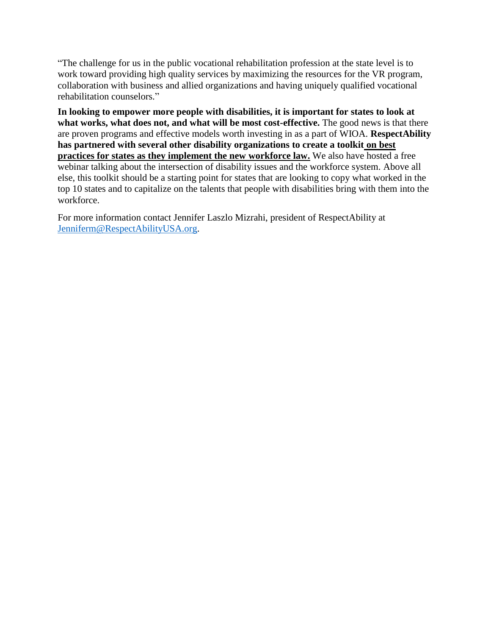"The challenge for us in the public vocational rehabilitation profession at the state level is to work toward providing high quality services by maximizing the resources for the VR program, collaboration with business and allied organizations and having uniquely qualified vocational rehabilitation counselors."

**In looking to empower more people with disabilities, it is important for states to look at what works, what does not, and what will be most cost-effective.** The good news is that there are proven programs and effective models worth investing in as a part of WIOA. **RespectAbility has partnered with several other disability organizations to create a toolkit [on best](http://respectabilityusa.com/Resources/Disability%20Employment%20First%20Planning.pdf)  [practices for states as they implement the new workforce law.](http://respectabilityusa.com/Resources/Disability%20Employment%20First%20Planning.pdf)** We also have hosted a free webinar talking about the intersection of disability issues and the workforce system. Above all else, this toolkit should be a starting point for states that are looking to copy what worked in the top 10 states and to capitalize on the talents that people with disabilities bring with them into the workforce.

For more information contact Jennifer Laszlo Mizrahi, president of RespectAbility at [Jenniferm@RespectAbilityUSA.org.](mailto:Jenniferm@RespectAbilityUSA.org)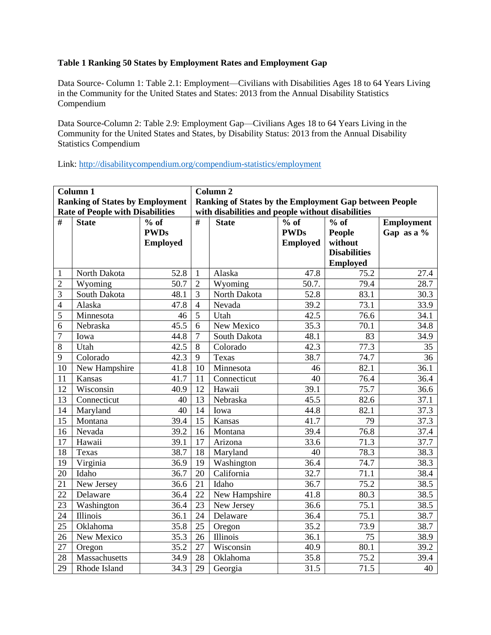#### **Table 1 Ranking 50 States by Employment Rates and Employment Gap**

Data Source- Column 1: Table 2.1: Employment—Civilians with Disabilities Ages 18 to 64 Years Living in the Community for the United States and States: 2013 from the Annual Disability Statistics Compendium

Data Source-Column 2: Table 2.9: Employment Gap—Civilians Ages 18 to 64 Years Living in the Community for the United States and States, by Disability Status: 2013 from the Annual Disability Statistics Compendium

Link:<http://disabilitycompendium.org/compendium-statistics/employment>

|                 | Column 1                                |                 | Column <sub>2</sub>                                    |                                                   |                 |                     |                   |  |  |  |
|-----------------|-----------------------------------------|-----------------|--------------------------------------------------------|---------------------------------------------------|-----------------|---------------------|-------------------|--|--|--|
|                 | <b>Ranking of States by Employment</b>  |                 | Ranking of States by the Employment Gap between People |                                                   |                 |                     |                   |  |  |  |
|                 | <b>Rate of People with Disabilities</b> |                 |                                                        | with disabilities and people without disabilities |                 |                     |                   |  |  |  |
| #               | <b>State</b>                            | $%$ of          | #                                                      | <b>State</b>                                      | $%$ of          | $%$ of              | <b>Employment</b> |  |  |  |
|                 |                                         | <b>PWDs</b>     |                                                        |                                                   | <b>PWDs</b>     | <b>People</b>       | Gap as a %        |  |  |  |
|                 |                                         | <b>Employed</b> |                                                        |                                                   | <b>Employed</b> | without             |                   |  |  |  |
|                 |                                         |                 |                                                        |                                                   |                 | <b>Disabilities</b> |                   |  |  |  |
|                 |                                         |                 |                                                        |                                                   |                 | <b>Employed</b>     |                   |  |  |  |
| $\mathbf{1}$    | North Dakota                            | 52.8            | $\mathbf{1}$                                           | Alaska                                            | 47.8            | 75.2                | 27.4              |  |  |  |
| $\overline{2}$  | Wyoming                                 | 50.7            | $\overline{2}$                                         | Wyoming                                           | 50.7.           | 79.4                | 28.7              |  |  |  |
| 3               | South Dakota                            | 48.1            | 3                                                      | North Dakota                                      | 52.8            | 83.1                | 30.3              |  |  |  |
| $\overline{4}$  | Alaska                                  | 47.8            | $\overline{4}$                                         | Nevada                                            | 39.2            | 73.1                | 33.9              |  |  |  |
| 5               | Minnesota                               | 46              | 5                                                      | Utah                                              | 42.5            | 76.6                | 34.1              |  |  |  |
| 6               | Nebraska                                | 45.5            | 6                                                      | New Mexico                                        | 35.3            | 70.1                | 34.8              |  |  |  |
| $\overline{7}$  | Iowa                                    | 44.8            | $\boldsymbol{7}$                                       | South Dakota                                      | 48.1            | 83                  | 34.9              |  |  |  |
| 8               | Utah                                    | 42.5            | 8                                                      | Colorado                                          | 42.3            | 77.3                | 35                |  |  |  |
| 9               | Colorado                                | 42.3            | 9                                                      | Texas                                             | 38.7            | 74.7                | 36                |  |  |  |
| 10              | New Hampshire                           | 41.8            | 10                                                     | Minnesota                                         | 46              | 82.1                | 36.1              |  |  |  |
| 11              | Kansas                                  | 41.7            | 11                                                     | Connecticut                                       | 40              | 76.4                | 36.4              |  |  |  |
| 12              | Wisconsin                               | 40.9            | 12                                                     | Hawaii                                            | 39.1            | 75.7                | 36.6              |  |  |  |
| 13              | Connecticut                             | 40              | 13                                                     | Nebraska                                          | 45.5            | 82.6                | 37.1              |  |  |  |
| 14              | Maryland                                | 40              | 14                                                     | Iowa                                              | 44.8            | 82.1                | 37.3              |  |  |  |
| 15              | Montana                                 | 39.4            | 15                                                     | Kansas                                            | 41.7            | 79                  | 37.3              |  |  |  |
| 16              | Nevada                                  | 39.2            | 16                                                     | Montana                                           | 39.4            | 76.8                | 37.4              |  |  |  |
| 17              | Hawaii                                  | 39.1            | 17                                                     | Arizona                                           | 33.6            | 71.3                | 37.7              |  |  |  |
| 18              | Texas                                   | 38.7            | 18                                                     | Maryland                                          | 40              | 78.3                | 38.3              |  |  |  |
| 19              | Virginia                                | 36.9            | 19                                                     | Washington                                        | 36.4            | 74.7                | 38.3              |  |  |  |
| 20              | Idaho                                   | 36.7            | 20                                                     | California                                        | 32.7            | 71.1                | 38.4              |  |  |  |
| 21              | New Jersey                              | 36.6            | 21                                                     | Idaho                                             | 36.7            | 75.2                | 38.5              |  |  |  |
| 22              | Delaware                                | 36.4            | 22                                                     | New Hampshire                                     | 41.8            | 80.3                | 38.5              |  |  |  |
| $\overline{23}$ | Washington                              | 36.4            | 23                                                     | New Jersey                                        | 36.6            | 75.1                | 38.5              |  |  |  |
| 24              | Illinois                                | 36.1            | 24                                                     | Delaware                                          | 36.4            | 75.1                | 38.7              |  |  |  |
| $\overline{25}$ | Oklahoma                                | 35.8            | 25                                                     | Oregon                                            | 35.2            | 73.9                | 38.7              |  |  |  |
| 26              | New Mexico                              | 35.3            | 26                                                     | Illinois                                          | 36.1            | 75                  | 38.9              |  |  |  |
| 27              | Oregon                                  | 35.2            | 27                                                     | Wisconsin                                         | 40.9            | 80.1                | 39.2              |  |  |  |
| 28              | Massachusetts                           | 34.9            | 28                                                     | Oklahoma                                          | 35.8            | 75.2                | 39.4              |  |  |  |
| 29              | Rhode Island                            | 34.3            | 29                                                     | Georgia                                           | 31.5            | 71.5                | 40                |  |  |  |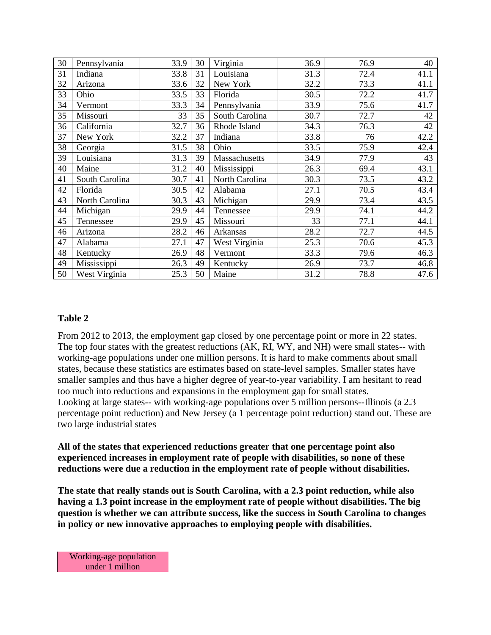| 30 | Pennsylvania   | 33.9 | 30 | Virginia       | 36.9 | 76.9 | 40   |
|----|----------------|------|----|----------------|------|------|------|
| 31 | Indiana        | 33.8 | 31 | Louisiana      | 31.3 | 72.4 | 41.1 |
| 32 | Arizona        | 33.6 | 32 | New York       | 32.2 | 73.3 | 41.1 |
| 33 | Ohio           | 33.5 | 33 | Florida        | 30.5 | 72.2 | 41.7 |
| 34 | Vermont        | 33.3 | 34 | Pennsylvania   | 33.9 | 75.6 | 41.7 |
| 35 | Missouri       | 33   | 35 | South Carolina | 30.7 | 72.7 | 42   |
| 36 | California     | 32.7 | 36 | Rhode Island   | 34.3 | 76.3 | 42   |
| 37 | New York       | 32.2 | 37 | Indiana        | 33.8 | 76   | 42.2 |
| 38 | Georgia        | 31.5 | 38 | Ohio           | 33.5 | 75.9 | 42.4 |
| 39 | Louisiana      | 31.3 | 39 | Massachusetts  | 34.9 | 77.9 | 43   |
| 40 | Maine          | 31.2 | 40 | Mississippi    | 26.3 | 69.4 | 43.1 |
| 41 | South Carolina | 30.7 | 41 | North Carolina | 30.3 | 73.5 | 43.2 |
| 42 | Florida        | 30.5 | 42 | Alabama        | 27.1 | 70.5 | 43.4 |
| 43 | North Carolina | 30.3 | 43 | Michigan       | 29.9 | 73.4 | 43.5 |
| 44 | Michigan       | 29.9 | 44 | Tennessee      | 29.9 | 74.1 | 44.2 |
| 45 | Tennessee      | 29.9 | 45 | Missouri       | 33   | 77.1 | 44.1 |
| 46 | Arizona        | 28.2 | 46 | Arkansas       | 28.2 | 72.7 | 44.5 |
| 47 | Alabama        | 27.1 | 47 | West Virginia  | 25.3 | 70.6 | 45.3 |
| 48 | Kentucky       | 26.9 | 48 | Vermont        | 33.3 | 79.6 | 46.3 |
| 49 | Mississippi    | 26.3 | 49 | Kentucky       | 26.9 | 73.7 | 46.8 |
| 50 | West Virginia  | 25.3 | 50 | Maine          | 31.2 | 78.8 | 47.6 |

#### **Table 2**

From 2012 to 2013, the employment gap closed by one percentage point or more in 22 states. The top four states with the greatest reductions (AK, RI, WY, and NH) were small states-- with working-age populations under one million persons. It is hard to make comments about small states, because these statistics are estimates based on state-level samples. Smaller states have smaller samples and thus have a higher degree of year-to-year variability. I am hesitant to read too much into reductions and expansions in the employment gap for small states. Looking at large states-- with working-age populations over 5 million persons--Illinois (a 2.3 percentage point reduction) and New Jersey (a 1 percentage point reduction) stand out. These are two large industrial states

**All of the states that experienced reductions greater that one percentage point also experienced increases in employment rate of people with disabilities, so none of these reductions were due a reduction in the employment rate of people without disabilities.**

**The state that really stands out is South Carolina, with a 2.3 point reduction, while also having a 1.3 point increase in the employment rate of people without disabilities. The big question is whether we can attribute success, like the success in South Carolina to changes in policy or new innovative approaches to employing people with disabilities.**

Working-age population under 1 million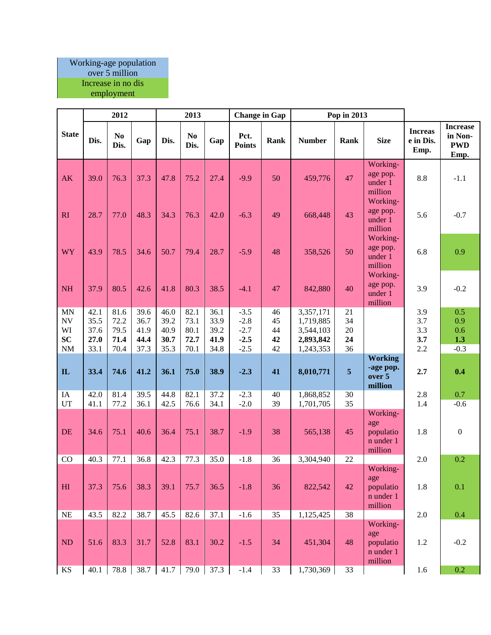#### Working-age population over 5 million Increase in no dis

employment

|                                                     |                                      | 2012                                 |                                      |                                      | 2013                                 |                                      | <b>Change in Gap</b>                           |                            |                                                               | Pop in 2013                |                                                        |                                     |                                                  |
|-----------------------------------------------------|--------------------------------------|--------------------------------------|--------------------------------------|--------------------------------------|--------------------------------------|--------------------------------------|------------------------------------------------|----------------------------|---------------------------------------------------------------|----------------------------|--------------------------------------------------------|-------------------------------------|--------------------------------------------------|
| <b>State</b>                                        | Dis.                                 | N <sub>0</sub><br>Dis.               | Gap                                  | Dis.                                 | N <sub>0</sub><br>Dis.               | Gap                                  | Pct.<br><b>Points</b>                          | Rank                       | <b>Number</b>                                                 | Rank                       | <b>Size</b>                                            | <b>Increas</b><br>e in Dis.<br>Emp. | <b>Increase</b><br>in Non-<br><b>PWD</b><br>Emp. |
| <b>AK</b>                                           | 39.0                                 | 76.3                                 | 37.3                                 | 47.8                                 | 75.2                                 | 27.4                                 | $-9.9$                                         | 50                         | 459,776                                                       | 47                         | Working-<br>age pop.<br>under 1<br>million<br>Working- | 8.8                                 | $-1.1$                                           |
| RI                                                  | 28.7                                 | 77.0                                 | 48.3                                 | 34.3                                 | 76.3                                 | 42.0                                 | $-6.3$                                         | 49                         | 668,448                                                       | 43                         | age pop.<br>under 1<br>million                         | 5.6                                 | $-0.7$                                           |
| <b>WY</b>                                           | 43.9                                 | 78.5                                 | 34.6                                 | 50.7                                 | 79.4                                 | 28.7                                 | $-5.9$                                         | 48                         | 358,526                                                       | 50                         | Working-<br>age pop.<br>under 1<br>million             | 6.8                                 | 0.9                                              |
| <b>NH</b>                                           | 37.9                                 | 80.5                                 | 42.6                                 | 41.8                                 | 80.3                                 | 38.5                                 | $-4.1$                                         | 47                         | 842,880                                                       | 40                         | Working-<br>age pop.<br>under 1<br>million             | 3.9                                 | $-0.2$                                           |
| <b>MN</b><br><b>NV</b><br>WI<br>SC<br>$\mathbf{NM}$ | 42.1<br>35.5<br>37.6<br>27.0<br>33.1 | 81.6<br>72.2<br>79.5<br>71.4<br>70.4 | 39.6<br>36.7<br>41.9<br>44.4<br>37.3 | 46.0<br>39.2<br>40.9<br>30.7<br>35.3 | 82.1<br>73.1<br>80.1<br>72.7<br>70.1 | 36.1<br>33.9<br>39.2<br>41.9<br>34.8 | $-3.5$<br>$-2.8$<br>$-2.7$<br>$-2.5$<br>$-2.5$ | 46<br>45<br>44<br>42<br>42 | 3,357,171<br>1,719,885<br>3,544,103<br>2,893,842<br>1,243,353 | 21<br>34<br>20<br>24<br>36 |                                                        | 3.9<br>3.7<br>3.3<br>3.7<br>2.2     | 0.5<br>0.9<br>0.6<br>1.3<br>$-0.3$               |
| $\mathbf{IL}$                                       | 33.4                                 | 74.6                                 | 41.2                                 | 36.1                                 | 75.0                                 | 38.9                                 | $-2.3$                                         | 41                         | 8,010,771                                                     | 5                          | <b>Working</b><br>-age pop.<br>over 5<br>million       | 2.7                                 | 0.4                                              |
| IA                                                  | 42.0                                 | 81.4                                 | 39.5                                 | 44.8                                 | 82.1                                 | 37.2                                 | $-2.3$                                         | 40                         | 1,868,852                                                     | 30                         |                                                        | 2.8                                 | 0.7                                              |
| UT<br>DE                                            | 41.1<br>34.6                         | 77.2<br>75.1                         | 36.1<br>40.6                         | 42.5<br>36.4                         | 76.6<br>75.1                         | 34.1<br>38.7                         | $-2.0$<br>$-1.9$                               | 39<br>38                   | 1,701,705<br>565,138                                          | 35<br>45                   | Working-<br>age<br>populatio<br>n under 1<br>million   | 1.4<br>1.8                          | $-0.6$<br>$\boldsymbol{0}$                       |
| CO                                                  | 40.3                                 | 77.1                                 | 36.8                                 | 42.3                                 | 77.3                                 | 35.0                                 | $-1.8$                                         | 36                         | 3,304,940                                                     | 22                         |                                                        | 2.0                                 | 0.2                                              |
| H <sub>I</sub>                                      | 37.3                                 | 75.6                                 | 38.3                                 | 39.1                                 | 75.7                                 | 36.5                                 | $-1.8$                                         | 36                         | 822,542                                                       | 42                         | Working-<br>age<br>populatio<br>n under 1<br>million   | 1.8                                 | 0.1                                              |
| NE                                                  | 43.5                                 | 82.2                                 | 38.7                                 | 45.5                                 | 82.6                                 | 37.1                                 | $-1.6$                                         | 35                         | 1,125,425                                                     | $\overline{38}$            |                                                        | 2.0                                 | 0.4                                              |
| ND                                                  | 51.6                                 | 83.3                                 | 31.7                                 | 52.8                                 | 83.1                                 | 30.2                                 | $-1.5$                                         | 34                         | 451,304                                                       | 48                         | Working-<br>age<br>populatio<br>n under 1<br>million   | 1.2                                 | $-0.2$                                           |
| $\mathbf{K}\mathbf{S}$                              | 40.1                                 | 78.8                                 | 38.7                                 | 41.7                                 | 79.0                                 | 37.3                                 | $-1.4$                                         | 33                         | 1,730,369                                                     | 33                         |                                                        | 1.6                                 | 0.2                                              |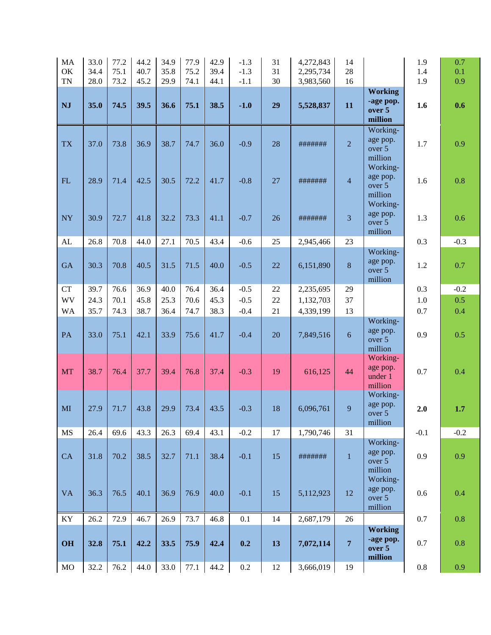| MA<br>OK<br><b>TN</b>  | 33.0<br>34.4<br>28.0 | 77.2<br>75.1<br>73.2 | 44.2<br>40.7<br>45.2 | 34.9<br>35.8<br>29.9 | 77.9<br>75.2<br>74.1 | 42.9<br>39.4<br>44.1 | $-1.3$<br>$-1.3$<br>$-1.1$ | 31<br>31<br>30 | 4,272,843<br>2,295,734<br>3,983,560 | 14<br>28<br>16 |                                                       | 1.9<br>1.4<br>1.9 | 0.7<br>0.1<br>0.9 |
|------------------------|----------------------|----------------------|----------------------|----------------------|----------------------|----------------------|----------------------------|----------------|-------------------------------------|----------------|-------------------------------------------------------|-------------------|-------------------|
| <b>NJ</b>              | 35.0                 | 74.5                 | 39.5                 | 36.6                 | 75.1                 | 38.5                 | $-1.0$                     | 29             | 5,528,837                           | 11             | <b>Working</b><br>-age pop.                           | 1.6               | 0.6               |
|                        |                      |                      |                      |                      |                      |                      |                            |                |                                     |                | over 5<br>million<br>Working-                         |                   |                   |
| <b>TX</b>              | 37.0                 | 73.8                 | 36.9                 | 38.7                 | 74.7                 | 36.0                 | $-0.9$                     | 28             | #######                             | $\overline{2}$ | age pop.<br>over 5<br>million<br>Working-             | 1.7               | 0.9               |
| FL                     | 28.9                 | 71.4                 | 42.5                 | 30.5                 | 72.2                 | 41.7                 | $-0.8$                     | 27             | #######                             | $\overline{4}$ | age pop.<br>over 5<br>million<br>Working-             | 1.6               | 0.8               |
| <b>NY</b>              | 30.9                 | 72.7                 | 41.8                 | 32.2                 | 73.3                 | 41.1                 | $-0.7$                     | 26             | #######                             | 3              | age pop.<br>over 5<br>million                         | 1.3               | 0.6               |
| AL                     | 26.8                 | 70.8                 | 44.0                 | 27.1                 | 70.5                 | 43.4                 | $-0.6$                     | 25             | 2,945,466                           | 23             |                                                       | 0.3               | $-0.3$            |
| <b>GA</b>              | 30.3                 | 70.8                 | 40.5                 | 31.5                 | 71.5                 | 40.0                 | $-0.5$                     | 22             | 6,151,890                           | 8              | Working-<br>age pop.<br>over 5<br>million             | 1.2               | 0.7               |
| <b>CT</b>              | 39.7                 | 76.6                 | 36.9                 | 40.0                 | 76.4                 | 36.4                 | $-0.5$                     | 22             | 2,235,695                           | 29             |                                                       | 0.3               | $-0.2$            |
| WV                     | 24.3                 | 70.1                 | 45.8                 | 25.3                 | 70.6                 | 45.3                 | $-0.5$                     | 22             | 1,132,703                           | 37             |                                                       | 1.0               | 0.5               |
| <b>WA</b>              | 35.7                 | 74.3                 | 38.7                 | 36.4                 | 74.7                 | 38.3                 | $-0.4$                     | 21             | 4,339,199                           | 13             |                                                       | 0.7               | 0.4               |
| PA                     | 33.0                 | 75.1                 | 42.1                 | 33.9                 | 75.6                 | 41.7                 | $-0.4$                     | 20             | 7,849,516                           | 6              | Working-<br>age pop.<br>over 5<br>million             | 0.9               | 0.5               |
| <b>MT</b>              | 38.7                 | 76.4                 | 37.7                 | 39.4                 | 76.8                 | 37.4                 | $-0.3$                     | 19             | 616,125                             | 44             | Working-<br>age pop.<br>under 1<br>million            | 0.7               | 0.4               |
| $\mathbf{M}\mathbf{I}$ | 27.9                 | 71.7                 | 43.8                 | 29.9                 | 73.4                 | 43.5                 | $-0.3$                     | 18             | 6,096,761                           | 9              | Working-<br>age pop.<br>over 5<br>million             | 2.0               | 1.7               |
| MS                     | 26.4                 | 69.6                 | 43.3                 | 26.3                 | 69.4                 | 43.1                 | $-0.2$                     | 17             | 1,790,746                           | 31             |                                                       | $-0.1$            | $-0.2$            |
| CA                     | 31.8                 | 70.2                 | 38.5                 | 32.7                 | 71.1                 | 38.4                 | $-0.1$                     | 15             | #######                             | $\mathbf{1}$   | Working-<br>age pop.<br>over 5<br>million<br>Working- | 0.9               | 0.9               |
| <b>VA</b>              | 36.3                 | 76.5                 | 40.1                 | 36.9                 | 76.9                 | 40.0                 | $-0.1$                     | 15             | 5,112,923                           | 12             | age pop.<br>over 5<br>million                         | 0.6               | 0.4               |
| KY                     | 26.2                 | 72.9                 | 46.7                 | 26.9                 | 73.7                 | 46.8                 | 0.1                        | 14             | 2,687,179                           | 26             |                                                       | 0.7               | 0.8               |
| OH                     | 32.8                 | 75.1                 | 42.2                 | 33.5                 | 75.9                 | 42.4                 | 0.2                        | 13             | 7,072,114                           | $\overline{7}$ | <b>Working</b><br>-age pop.<br>over 5<br>million      | 0.7               | 0.8               |
| $_{\rm MO}$            | 32.2                 | 76.2                 | 44.0                 | 33.0                 | 77.1                 | 44.2                 | $0.2\,$                    | 12             | 3,666,019                           | 19             |                                                       | $0.8\,$           | 0.9               |